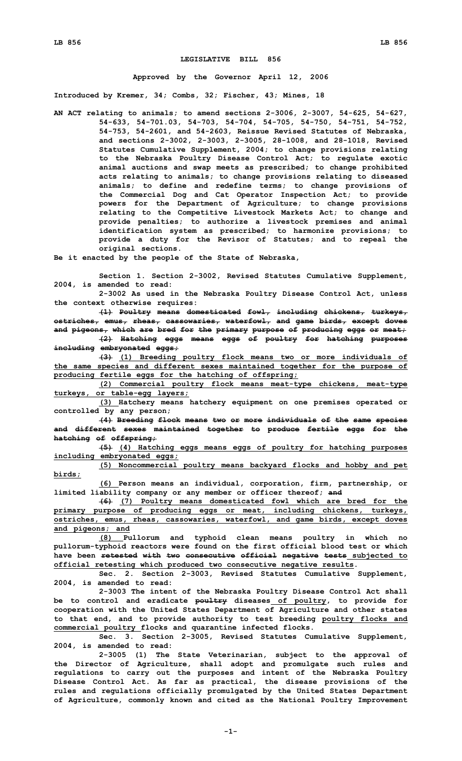## **LEGISLATIVE BILL 856**

## **Approved by the Governor April 12, 2006**

**Introduced by Kremer, 34; Combs, 32; Fischer, 43; Mines, 18**

**AN ACT relating to animals; to amend sections 2-3006, 2-3007, 54-625, 54-627, 54-633, 54-701.03, 54-703, 54-704, 54-705, 54-750, 54-751, 54-752, 54-753, 54-2601, and 54-2603, Reissue Revised Statutes of Nebraska, and sections 2-3002, 2-3003, 2-3005, 28-1008, and 28-1018, Revised Statutes Cumulative Supplement, 2004; to change provisions relating to the Nebraska Poultry Disease Control Act; to regulate exotic animal auctions and swap meets as prescribed; to change prohibited acts relating to animals; to change provisions relating to diseased animals; to define and redefine terms; to change provisions of the Commercial Dog and Cat Operator Inspection Act; to provide powers for the Department of Agriculture; to change provisions relating to the Competitive Livestock Markets Act; to change and provide penalties; to authorize <sup>a</sup> livestock premises and animal identification system as prescribed; to harmonize provisions; to provide <sup>a</sup> duty for the Revisor of Statutes; and to repeal the original sections.**

**Be it enacted by the people of the State of Nebraska,**

**Section 1. Section 2-3002, Revised Statutes Cumulative Supplement, 2004, is amended to read:**

**2-3002 As used in the Nebraska Poultry Disease Control Act, unless the context otherwise requires:**

**(1) Poultry means domesticated fowl, including chickens, turkeys, ostriches, emus, rheas, cassowaries, waterfowl, and game birds, except doves and pigeons, which are bred for the primary purpose of producing eggs or meat;**

**(2) Hatching eggs means eggs of poultry for hatching purposes including embryonated eggs;**

**(3) (1) Breeding poultry flock means two or more individuals of the same species and different sexes maintained together for the purpose of producing fertile eggs for the hatching of offspring;**

**(2) Commercial poultry flock means meat-type chickens, meat-type turkeys, or table-egg layers;**

**(3) Hatchery means hatchery equipment on one premises operated or controlled by any person;**

**(4) Breeding flock means two or more individuals of the same species and different sexes maintained together to produce fertile eggs for the hatching of offspring;**

**(5) (4) Hatching eggs means eggs of poultry for hatching purposes including embryonated eggs;**

**(5) Noncommercial poultry means backyard flocks and hobby and pet birds;**

**(6) Person means an individual, corporation, firm, partnership, or limited liability company or any member or officer thereof; and**

**(6) (7) Poultry means domesticated fowl which are bred for the primary purpose of producing eggs or meat, including chickens, turkeys, ostriches, emus, rheas, cassowaries, waterfowl, and game birds, except doves and pigeons; and**

**(8) Pullorum and typhoid clean means poultry in which no pullorum-typhoid reactors were found on the first official blood test or which have been retested with two consecutive official negative tests subjected to official retesting which produced two consecutive negative results.**

**Sec. 2. Section 2-3003, Revised Statutes Cumulative Supplement, 2004, is amended to read:**

**2-3003 The intent of the Nebraska Poultry Disease Control Act shall be to control and eradicate poultry diseases of poultry, to provide for cooperation with the United States Department of Agriculture and other states to that end, and to provide authority to test breeding poultry flocks and commercial poultry flocks and quarantine infected flocks.**

**Sec. 3. Section 2-3005, Revised Statutes Cumulative Supplement, 2004, is amended to read:**

**2-3005 (1) The State Veterinarian, subject to the approval of the Director of Agriculture, shall adopt and promulgate such rules and regulations to carry out the purposes and intent of the Nebraska Poultry Disease Control Act. As far as practical, the disease provisions of the rules and regulations officially promulgated by the United States Department of Agriculture, commonly known and cited as the National Poultry Improvement**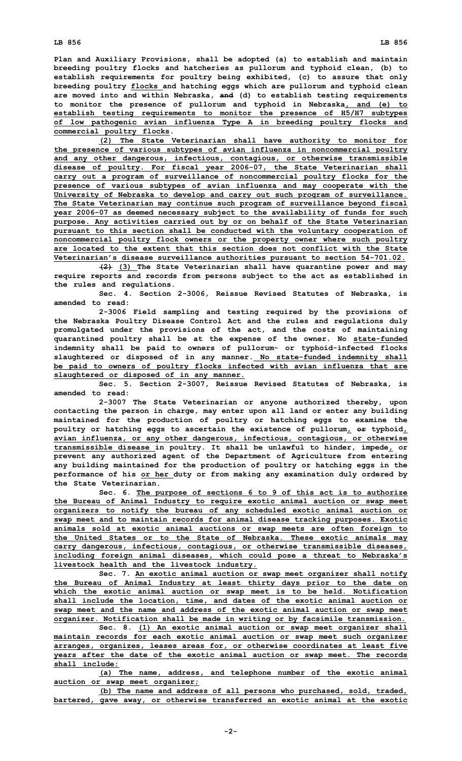**Plan and Auxiliary Provisions, shall be adopted (a) to establish and maintain breeding poultry flocks and hatcheries as pullorum and typhoid clean, (b) to establish requirements for poultry being exhibited, (c) to assure that only breeding poultry flocks and hatching eggs which are pullorum and typhoid clean are moved into and within Nebraska, and (d) to establish testing requirements to monitor the presence of pullorum and typhoid in Nebraska, and (e) to establish testing requirements to monitor the presence of H5/H7 subtypes**

**of low pathogenic avian influenza Type A in breeding poultry flocks and commercial poultry flocks.**

**(2) The State Veterinarian shall have authority to monitor for the presence of various subtypes of avian influenza in noncommercial poultry and any other dangerous, infectious, contagious, or otherwise transmissible disease of poultry. For fiscal year 2006-07, the State Veterinarian shall carry out <sup>a</sup> program of surveillance of noncommercial poultry flocks for the presence of various subtypes of avian influenza and may cooperate with the University of Nebraska to develop and carry out such program of surveillance. The State Veterinarian may continue such program of surveillance beyond fiscal year 2006-07 as deemed necessary subject to the availability of funds for such purpose. Any activities carried out by or on behalf of the State Veterinarian pursuant to this section shall be conducted with the voluntary cooperation of noncommercial poultry flock owners or the property owner where such poultry are located to the extent that this section does not conflict with the State Veterinarian's disease surveillance authorities pursuant to section 54-701.02.**

**(2) (3) The State Veterinarian shall have quarantine power and may require reports and records from persons subject to the act as established in the rules and regulations.**

**Sec. 4. Section 2-3006, Reissue Revised Statutes of Nebraska, is amended to read:**

**2-3006 Field sampling and testing required by the provisions of the Nebraska Poultry Disease Control Act and the rules and regulations duly promulgated under the provisions of the act, and the costs of maintaining quarantined poultry shall be at the expense of the owner. No state-funded indemnity shall be paid to owners of pullorum- or typhoid-infected flocks slaughtered or disposed of in any manner. No state-funded indemnity shall be paid to owners of poultry flocks infected with avian influenza that are slaughtered or disposed of in any manner.**

**Sec. 5. Section 2-3007, Reissue Revised Statutes of Nebraska, is amended to read:**

**2-3007 The State Veterinarian or anyone authorized thereby, upon contacting the person in charge, may enter upon all land or enter any building maintained for the production of poultry or hatching eggs to examine the poultry or hatching eggs to ascertain the existence of pullorum, or typhoid, avian influenza, or any other dangerous, infectious, contagious, or otherwise transmissible disease in poultry. It shall be unlawful to hinder, impede, or prevent any authorized agent of the Department of Agriculture from entering any building maintained for the production of poultry or hatching eggs in the performance of his or her duty or from making any examination duly ordered by the State Veterinarian.**

**Sec. 6. The purpose of sections 6 to 9 of this act is to authorize the Bureau of Animal Industry to require exotic animal auction or swap meet organizers to notify the bureau of any scheduled exotic animal auction or swap meet and to maintain records for animal disease tracking purposes. Exotic animals sold at exotic animal auctions or swap meets are often foreign to the United States or to the State of Nebraska. These exotic animals may carry dangerous, infectious, contagious, or otherwise transmissible diseases, including foreign animal diseases, which could pose <sup>a</sup> threat to Nebraska's livestock health and the livestock industry.**

**Sec. 7. An exotic animal auction or swap meet organizer shall notify the Bureau of Animal Industry at least thirty days prior to the date on which the exotic animal auction or swap meet is to be held. Notification shall include the location, time, and dates of the exotic animal auction or swap meet and the name and address of the exotic animal auction or swap meet organizer. Notification shall be made in writing or by facsimile transmission.**

**Sec. 8. (1) An exotic animal auction or swap meet organizer shall maintain records for each exotic animal auction or swap meet such organizer arranges, organizes, leases areas for, or otherwise coordinates at least five years after the date of the exotic animal auction or swap meet. The records shall include:**

**(a) The name, address, and telephone number of the exotic animal auction or swap meet organizer;**

**(b) The name and address of all persons who purchased, sold, traded, bartered, gave away, or otherwise transferred an exotic animal at the exotic**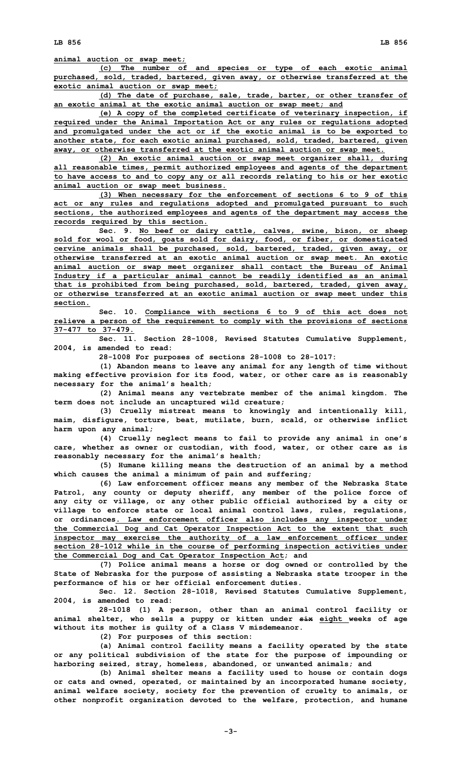**(c) The number of and species or type of each exotic animal purchased, sold, traded, bartered, given away, or otherwise transferred at the exotic animal auction or swap meet;**

**(d) The date of purchase, sale, trade, barter, or other transfer of an exotic animal at the exotic animal auction or swap meet; and**

**(e) <sup>A</sup> copy of the completed certificate of veterinary inspection, if required under the Animal Importation Act or any rules or regulations adopted and promulgated under the act or if the exotic animal is to be exported to another state, for each exotic animal purchased, sold, traded, bartered, given away, or otherwise transferred at the exotic animal auction or swap meet.**

**(2) An exotic animal auction or swap meet organizer shall, during all reasonable times, permit authorized employees and agents of the department to have access to and to copy any or all records relating to his or her exotic animal auction or swap meet business.**

**(3) When necessary for the enforcement of sections 6 to 9 of this act or any rules and regulations adopted and promulgated pursuant to such sections, the authorized employees and agents of the department may access the records required by this section.**

**Sec. 9. No beef or dairy cattle, calves, swine, bison, or sheep sold for wool or food, goats sold for dairy, food, or fiber, or domesticated cervine animals shall be purchased, sold, bartered, traded, given away, or otherwise transferred at an exotic animal auction or swap meet. An exotic animal auction or swap meet organizer shall contact the Bureau of Animal Industry if <sup>a</sup> particular animal cannot be readily identified as an animal that is prohibited from being purchased, sold, bartered, traded, given away, or otherwise transferred at an exotic animal auction or swap meet under this section.**

**Sec. 10. Compliance with sections 6 to 9 of this act does not relieve <sup>a</sup> person of the requirement to comply with the provisions of sections 37-477 to 37-479.**

**Sec. 11. Section 28-1008, Revised Statutes Cumulative Supplement, 2004, is amended to read:**

**28-1008 For purposes of sections 28-1008 to 28-1017:**

**(1) Abandon means to leave any animal for any length of time without making effective provision for its food, water, or other care as is reasonably necessary for the animal's health;**

**(2) Animal means any vertebrate member of the animal kingdom. The term does not include an uncaptured wild creature;**

**(3) Cruelly mistreat means to knowingly and intentionally kill, maim, disfigure, torture, beat, mutilate, burn, scald, or otherwise inflict harm upon any animal;**

**(4) Cruelly neglect means to fail to provide any animal in one's care, whether as owner or custodian, with food, water, or other care as is reasonably necessary for the animal's health;**

**(5) Humane killing means the destruction of an animal by <sup>a</sup> method which causes the animal <sup>a</sup> minimum of pain and suffering;**

**(6) Law enforcement officer means any member of the Nebraska State Patrol, any county or deputy sheriff, any member of the police force of any city or village, or any other public official authorized by <sup>a</sup> city or village to enforce state or local animal control laws, rules, regulations, or ordinances. Law enforcement officer also includes any inspector under the Commercial Dog and Cat Operator Inspection Act to the extent that such inspector may exercise the authority of <sup>a</sup> law enforcement officer under section 28-1012 while in the course of performing inspection activities under the Commercial Dog and Cat Operator Inspection Act; and**

**(7) Police animal means <sup>a</sup> horse or dog owned or controlled by the State of Nebraska for the purpose of assisting <sup>a</sup> Nebraska state trooper in the performance of his or her official enforcement duties.**

**Sec. 12. Section 28-1018, Revised Statutes Cumulative Supplement, 2004, is amended to read:**

**28-1018 (1) <sup>A</sup> person, other than an animal control facility or animal shelter, who sells <sup>a</sup> puppy or kitten under six eight weeks of age without its mother is guilty of <sup>a</sup> Class V misdemeanor.**

**(2) For purposes of this section:**

**(a) Animal control facility means <sup>a</sup> facility operated by the state or any political subdivision of the state for the purpose of impounding or harboring seized, stray, homeless, abandoned, or unwanted animals; and**

**(b) Animal shelter means <sup>a</sup> facility used to house or contain dogs or cats and owned, operated, or maintained by an incorporated humane society, animal welfare society, society for the prevention of cruelty to animals, or other nonprofit organization devoted to the welfare, protection, and humane**

**-3-**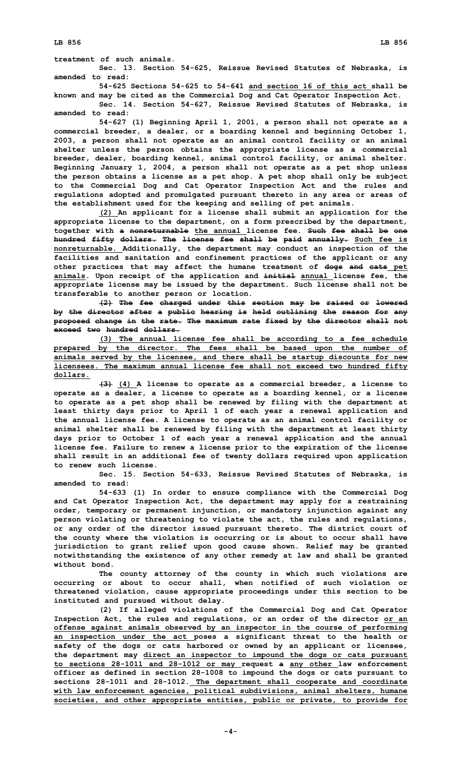**treatment of such animals.**

**Sec. 13. Section 54-625, Reissue Revised Statutes of Nebraska, is amended to read:**

**54-625 Sections 54-625 to 54-641 and section 16 of this act shall be known and may be cited as the Commercial Dog and Cat Operator Inspection Act.**

**Sec. 14. Section 54-627, Reissue Revised Statutes of Nebraska, is amended to read:**

**54-627 (1) Beginning April 1, 2001, <sup>a</sup> person shall not operate as <sup>a</sup> commercial breeder, <sup>a</sup> dealer, or <sup>a</sup> boarding kennel and beginning October 1, 2003, <sup>a</sup> person shall not operate as an animal control facility or an animal shelter unless the person obtains the appropriate license as <sup>a</sup> commercial breeder, dealer, boarding kennel, animal control facility, or animal shelter. Beginning January 1, 2004, <sup>a</sup> person shall not operate as <sup>a</sup> pet shop unless the person obtains <sup>a</sup> license as <sup>a</sup> pet shop. A pet shop shall only be subject to the Commercial Dog and Cat Operator Inspection Act and the rules and regulations adopted and promulgated pursuant thereto in any area or areas of the establishment used for the keeping and selling of pet animals.**

**(2) An applicant for <sup>a</sup> license shall submit an application for the appropriate license to the department, on <sup>a</sup> form prescribed by the department, together with <sup>a</sup> nonreturnable the annual license fee. Such fee shall be one hundred fifty dollars. The license fee shall be paid annually. Such fee is nonreturnable. Additionally, the department may conduct an inspection of the facilities and sanitation and confinement practices of the applicant or any other practices that may affect the humane treatment of dogs and cats pet animals. Upon receipt of the application and initial annual license fee, the appropriate license may be issued by the department. Such license shall not be transferable to another person or location.**

**(2) The fee charged under this section may be raised or lowered by the director after <sup>a</sup> public hearing is held outlining the reason for any proposed change in the rate. The maximum rate fixed by the director shall not exceed two hundred dollars.**

**(3) The annual license fee shall be according to <sup>a</sup> fee schedule prepared by the director. The fees shall be based upon the number of animals served by the licensee, and there shall be startup discounts for new licensees. The maximum annual license fee shall not exceed two hundred fifty dollars.**

**(3) (4) <sup>A</sup> license to operate as <sup>a</sup> commercial breeder, <sup>a</sup> license to operate as <sup>a</sup> dealer, <sup>a</sup> license to operate as <sup>a</sup> boarding kennel, or <sup>a</sup> license to operate as <sup>a</sup> pet shop shall be renewed by filing with the department at least thirty days prior to April 1 of each year <sup>a</sup> renewal application and the annual license fee. A license to operate as an animal control facility or animal shelter shall be renewed by filing with the department at least thirty days prior to October 1 of each year <sup>a</sup> renewal application and the annual license fee. Failure to renew <sup>a</sup> license prior to the expiration of the license shall result in an additional fee of twenty dollars required upon application to renew such license.**

**Sec. 15. Section 54-633, Reissue Revised Statutes of Nebraska, is amended to read:**

**54-633 (1) In order to ensure compliance with the Commercial Dog and Cat Operator Inspection Act, the department may apply for <sup>a</sup> restraining order, temporary or permanent injunction, or mandatory injunction against any person violating or threatening to violate the act, the rules and regulations, or any order of the director issued pursuant thereto. The district court of the county where the violation is occurring or is about to occur shall have jurisdiction to grant relief upon good cause shown. Relief may be granted notwithstanding the existence of any other remedy at law and shall be granted without bond.**

**The county attorney of the county in which such violations are occurring or about to occur shall, when notified of such violation or threatened violation, cause appropriate proceedings under this section to be instituted and pursued without delay.**

**(2) If alleged violations of the Commercial Dog and Cat Operator Inspection Act, the rules and regulations, or an order of the director or an offense against animals observed by an inspector in the course of performing an inspection under the act poses <sup>a</sup> significant threat to the health or safety of the dogs or cats harbored or owned by an applicant or licensee, the department may direct an inspector to impound the dogs or cats pursuant to sections 28-1011 and 28-1012 or may request <sup>a</sup> any other law enforcement officer as defined in section 28-1008 to impound the dogs or cats pursuant to sections 28-1011 and 28-1012. The department shall cooperate and coordinate with law enforcement agencies, political subdivisions, animal shelters, humane societies, and other appropriate entities, public or private, to provide for**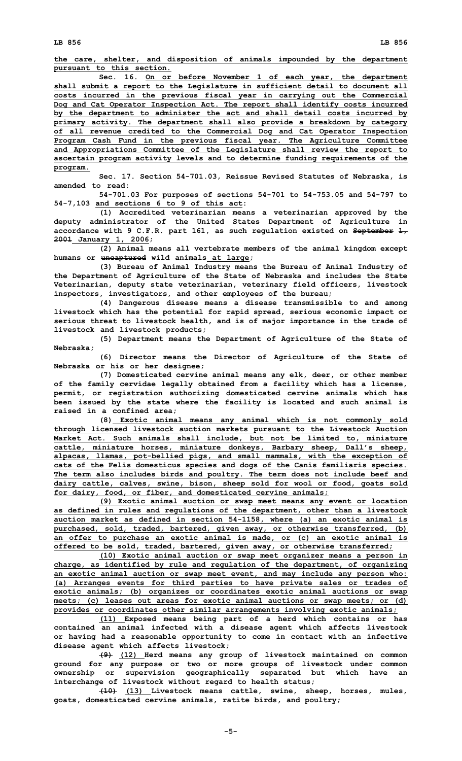**the care, shelter, and disposition of animals impounded by the department pursuant to this section.**

**Sec. 16. On or before November 1 of each year, the department shall submit <sup>a</sup> report to the Legislature in sufficient detail to document all costs incurred in the previous fiscal year in carrying out the Commercial Dog and Cat Operator Inspection Act. The report shall identify costs incurred by the department to administer the act and shall detail costs incurred by primary activity. The department shall also provide <sup>a</sup> breakdown by category of all revenue credited to the Commercial Dog and Cat Operator Inspection Program Cash Fund in the previous fiscal year. The Agriculture Committee and Appropriations Committee of the Legislature shall review the report to ascertain program activity levels and to determine funding requirements of the program.**

**Sec. 17. Section 54-701.03, Reissue Revised Statutes of Nebraska, is amended to read:**

**54-701.03 For purposes of sections 54-701 to 54-753.05 and 54-797 to 54-7,103 and sections 6 to 9 of this act:**

**(1) Accredited veterinarian means <sup>a</sup> veterinarian approved by the deputy administrator of the United States Department of Agriculture in accordance with 9 C.F.R. part 161, as such regulation existed on September 1, 2001 January 1, 2006;**

**(2) Animal means all vertebrate members of the animal kingdom except humans or uncaptured wild animals at large;**

**(3) Bureau of Animal Industry means the Bureau of Animal Industry of the Department of Agriculture of the State of Nebraska and includes the State Veterinarian, deputy state veterinarian, veterinary field officers, livestock inspectors, investigators, and other employees of the bureau;**

**(4) Dangerous disease means <sup>a</sup> disease transmissible to and among livestock which has the potential for rapid spread, serious economic impact or serious threat to livestock health, and is of major importance in the trade of livestock and livestock products;**

**(5) Department means the Department of Agriculture of the State of Nebraska;**

**(6) Director means the Director of Agriculture of the State of Nebraska or his or her designee;**

**(7) Domesticated cervine animal means any elk, deer, or other member of the family cervidae legally obtained from <sup>a</sup> facility which has <sup>a</sup> license, permit, or registration authorizing domesticated cervine animals which has been issued by the state where the facility is located and such animal is raised in <sup>a</sup> confined area;**

**(8) Exotic animal means any animal which is not commonly sold through licensed livestock auction markets pursuant to the Livestock Auction Market Act. Such animals shall include, but not be limited to, miniature cattle, miniature horses, miniature donkeys, Barbary sheep, Dall's sheep, alpacas, llamas, pot-bellied pigs, and small mammals, with the exception of cats of the Felis domesticus species and dogs of the Canis familiaris species. The term also includes birds and poultry. The term does not include beef and dairy cattle, calves, swine, bison, sheep sold for wool or food, goats sold for dairy, food, or fiber, and domesticated cervine animals;**

**(9) Exotic animal auction or swap meet means any event or location as defined in rules and regulations of the department, other than <sup>a</sup> livestock auction market as defined in section 54-1158, where (a) an exotic animal is purchased, sold, traded, bartered, given away, or otherwise transferred, (b) an offer to purchase an exotic animal is made, or (c) an exotic animal is offered to be sold, traded, bartered, given away, or otherwise transferred;**

**(10) Exotic animal auction or swap meet organizer means <sup>a</sup> person in charge, as identified by rule and regulation of the department, of organizing an exotic animal auction or swap meet event, and may include any person who: (a) Arranges events for third parties to have private sales or trades of exotic animals; (b) organizes or coordinates exotic animal auctions or swap meets; (c) leases out areas for exotic animal auctions or swap meets; or (d) provides or coordinates other similar arrangements involving exotic animals;**

**(11) Exposed means being part of <sup>a</sup> herd which contains or has contained an animal infected with <sup>a</sup> disease agent which affects livestock or having had <sup>a</sup> reasonable opportunity to come in contact with an infective disease agent which affects livestock;**

**(9) (12) Herd means any group of livestock maintained on common ground for any purpose or two or more groups of livestock under common ownership or supervision geographically separated but which have an interchange of livestock without regard to health status;**

**(10) (13) Livestock means cattle, swine, sheep, horses, mules, goats, domesticated cervine animals, ratite birds, and poultry;**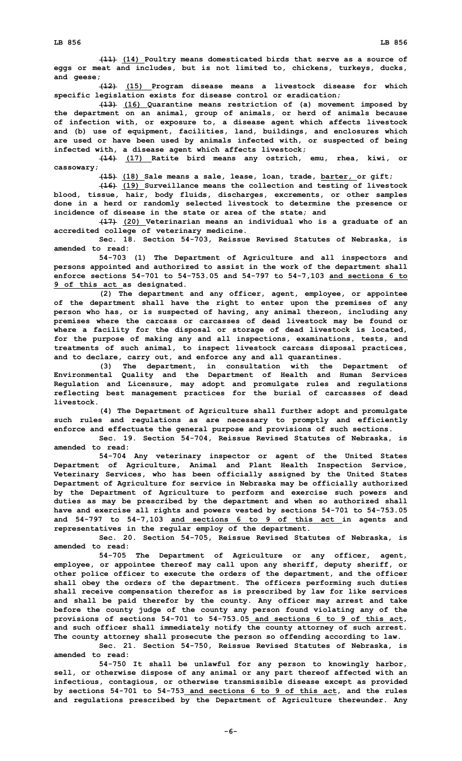**(11) (14) Poultry means domesticated birds that serve as <sup>a</sup> source of eggs or meat and includes, but is not limited to, chickens, turkeys, ducks, and geese;**

**(12) (15) Program disease means <sup>a</sup> livestock disease for which specific legislation exists for disease control or eradication;**

**(13) (16) Quarantine means restriction of (a) movement imposed by the department on an animal, group of animals, or herd of animals because of infection with, or exposure to, <sup>a</sup> disease agent which affects livestock and (b) use of equipment, facilities, land, buildings, and enclosures which are used or have been used by animals infected with, or suspected of being infected with, <sup>a</sup> disease agent which affects livestock;**

**(14) (17) Ratite bird means any ostrich, emu, rhea, kiwi, or cassowary;**

**(15) (18) Sale means <sup>a</sup> sale, lease, loan, trade, barter, or gift;**

**(16) (19) Surveillance means the collection and testing of livestock blood, tissue, hair, body fluids, discharges, excrements, or other samples done in <sup>a</sup> herd or randomly selected livestock to determine the presence or incidence of disease in the state or area of the state; and**

**(17) (20) Veterinarian means an individual who is <sup>a</sup> graduate of an accredited college of veterinary medicine.**

**Sec. 18. Section 54-703, Reissue Revised Statutes of Nebraska, is amended to read:**

**54-703 (1) The Department of Agriculture and all inspectors and persons appointed and authorized to assist in the work of the department shall enforce sections 54-701 to 54-753.05 and 54-797 to 54-7,103 and sections 6 to 9 of this act as designated.**

**(2) The department and any officer, agent, employee, or appointee of the department shall have the right to enter upon the premises of any person who has, or is suspected of having, any animal thereon, including any premises where the carcass or carcasses of dead livestock may be found or where <sup>a</sup> facility for the disposal or storage of dead livestock is located, for the purpose of making any and all inspections, examinations, tests, and treatments of such animal, to inspect livestock carcass disposal practices, and to declare, carry out, and enforce any and all quarantines.**

**(3) The department, in consultation with the Department of Environmental Quality and the Department of Health and Human Services Regulation and Licensure, may adopt and promulgate rules and regulations reflecting best management practices for the burial of carcasses of dead livestock.**

**(4) The Department of Agriculture shall further adopt and promulgate such rules and regulations as are necessary to promptly and efficiently enforce and effectuate the general purpose and provisions of such sections.**

**Sec. 19. Section 54-704, Reissue Revised Statutes of Nebraska, is amended to read:**

**54-704 Any veterinary inspector or agent of the United States Department of Agriculture, Animal and Plant Health Inspection Service, Veterinary Services, who has been officially assigned by the United States Department of Agriculture for service in Nebraska may be officially authorized by the Department of Agriculture to perform and exercise such powers and duties as may be prescribed by the department and when so authorized shall have and exercise all rights and powers vested by sections 54-701 to 54-753.05 and 54-797 to 54-7,103 and sections 6 to 9 of this act in agents and representatives in the regular employ of the department.**

**Sec. 20. Section 54-705, Reissue Revised Statutes of Nebraska, is amended to read:**

**54-705 The Department of Agriculture or any officer, agent, employee, or appointee thereof may call upon any sheriff, deputy sheriff, or other police officer to execute the orders of the department, and the officer shall obey the orders of the department. The officers performing such duties shall receive compensation therefor as is prescribed by law for like services and shall be paid therefor by the county. Any officer may arrest and take before the county judge of the county any person found violating any of the provisions of sections 54-701 to 54-753.05 and sections 6 to 9 of this act, and such officer shall immediately notify the county attorney of such arrest. The county attorney shall prosecute the person so offending according to law.**

**Sec. 21. Section 54-750, Reissue Revised Statutes of Nebraska, is amended to read:**

**54-750 It shall be unlawful for any person to knowingly harbor, sell, or otherwise dispose of any animal or any part thereof affected with an infectious, contagious, or otherwise transmissible disease except as provided by sections 54-701 to 54-753 and sections 6 to 9 of this act, and the rules and regulations prescribed by the Department of Agriculture thereunder. Any**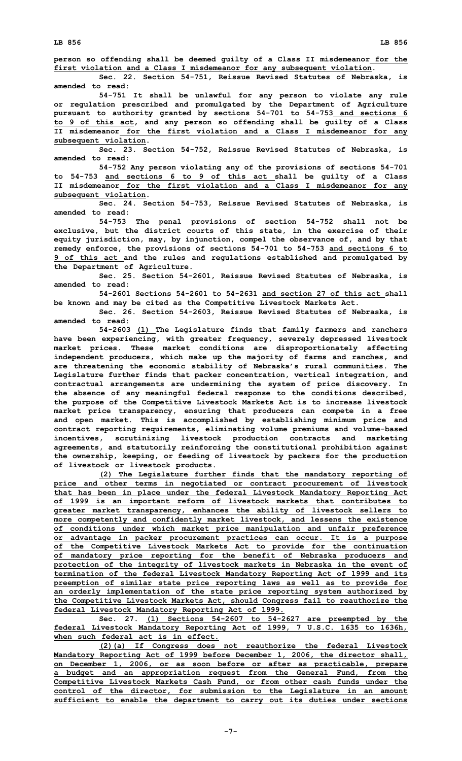**person so offending shall be deemed guilty of <sup>a</sup> Class II misdemeanor for the first violation and <sup>a</sup> Class I misdemeanor for any subsequent violation.**

**Sec. 22. Section 54-751, Reissue Revised Statutes of Nebraska, is amended to read:**

**54-751 It shall be unlawful for any person to violate any rule or regulation prescribed and promulgated by the Department of Agriculture pursuant to authority granted by sections 54-701 to 54-753 and sections 6 to 9 of this act, and any person so offending shall be guilty of <sup>a</sup> Class II misdemeanor for the first violation and <sup>a</sup> Class I misdemeanor for any subsequent violation.**

**Sec. 23. Section 54-752, Reissue Revised Statutes of Nebraska, is amended to read:**

**54-752 Any person violating any of the provisions of sections 54-701 to 54-753 and sections 6 to 9 of this act shall be guilty of <sup>a</sup> Class II misdemeanor for the first violation and <sup>a</sup> Class I misdemeanor for any subsequent violation.**

**Sec. 24. Section 54-753, Reissue Revised Statutes of Nebraska, is amended to read:**

**54-753 The penal provisions of section 54-752 shall not be exclusive, but the district courts of this state, in the exercise of their equity jurisdiction, may, by injunction, compel the observance of, and by that remedy enforce, the provisions of sections 54-701 to 54-753 and sections 6 to 9 of this act and the rules and regulations established and promulgated by the Department of Agriculture.**

**Sec. 25. Section 54-2601, Reissue Revised Statutes of Nebraska, is amended to read:**

**54-2601 Sections 54-2601 to 54-2631 and section 27 of this act shall be known and may be cited as the Competitive Livestock Markets Act.**

**Sec. 26. Section 54-2603, Reissue Revised Statutes of Nebraska, is amended to read:**

**54-2603 (1) The Legislature finds that family farmers and ranchers have been experiencing, with greater frequency, severely depressed livestock market prices. These market conditions are disproportionately affecting independent producers, which make up the majority of farms and ranches, and are threatening the economic stability of Nebraska's rural communities. The Legislature further finds that packer concentration, vertical integration, and contractual arrangements are undermining the system of price discovery. In the absence of any meaningful federal response to the conditions described, the purpose of the Competitive Livestock Markets Act is to increase livestock market price transparency, ensuring that producers can compete in <sup>a</sup> free and open market. This is accomplished by establishing minimum price and contract reporting requirements, eliminating volume premiums and volume-based incentives, scrutinizing livestock production contracts and marketing agreements, and statutorily reinforcing the constitutional prohibition against the ownership, keeping, or feeding of livestock by packers for the production of livestock or livestock products.**

**(2) The Legislature further finds that the mandatory reporting of price and other terms in negotiated or contract procurement of livestock that has been in place under the federal Livestock Mandatory Reporting Act of 1999 is an important reform of livestock markets that contributes to greater market transparency, enhances the ability of livestock sellers to more competently and confidently market livestock, and lessens the existence of conditions under which market price manipulation and unfair preference or advantage in packer procurement practices can occur. It is <sup>a</sup> purpose of the Competitive Livestock Markets Act to provide for the continuation of mandatory price reporting for the benefit of Nebraska producers and protection of the integrity of livestock markets in Nebraska in the event of termination of the federal Livestock Mandatory Reporting Act of 1999 and its preemption of similar state price reporting laws as well as to provide for an orderly implementation of the state price reporting system authorized by the Competitive Livestock Markets Act, should Congress fail to reauthorize the federal Livestock Mandatory Reporting Act of 1999.**

**Sec. 27. (1) Sections 54-2607 to 54-2627 are preempted by the federal Livestock Mandatory Reporting Act of 1999, 7 U.S.C. 1635 to 1636h, when such federal act is in effect.**

**(2)(a) If Congress does not reauthorize the federal Livestock Mandatory Reporting Act of 1999 before December 1, 2006, the director shall, on December 1, 2006, or as soon before or after as practicable, prepare <sup>a</sup> budget and an appropriation request from the General Fund, from the Competitive Livestock Markets Cash Fund, or from other cash funds under the control of the director, for submission to the Legislature in an amount sufficient to enable the department to carry out its duties under sections**